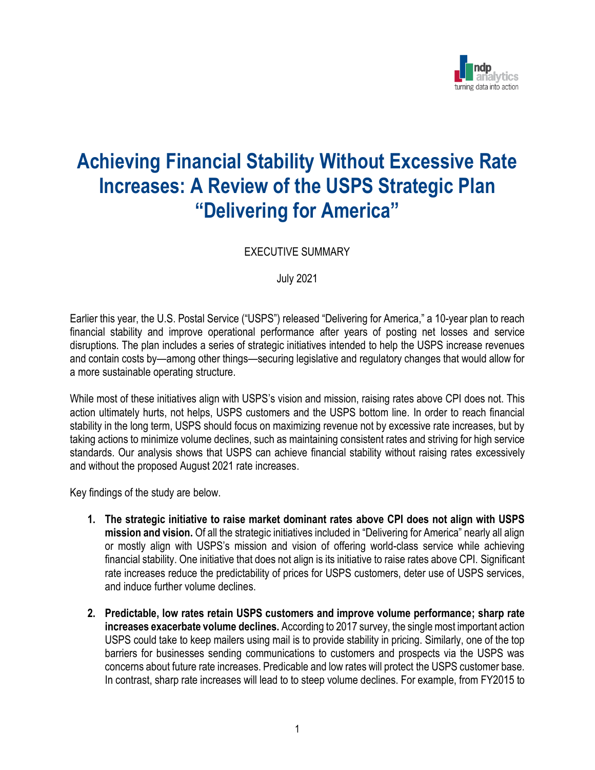

## **Achieving Financial Stability Without Excessive Rate Increases: A Review of the USPS Strategic Plan "Delivering for America"**

EXECUTIVE SUMMARY

July 2021

Earlier this year, the U.S. Postal Service ("USPS") released "Delivering for America," a 10-year plan to reach financial stability and improve operational performance after years of posting net losses and service disruptions. The plan includes a series of strategic initiatives intended to help the USPS increase revenues and contain costs by—among other things—securing legislative and regulatory changes that would allow for a more sustainable operating structure.

While most of these initiatives align with USPS's vision and mission, raising rates above CPI does not. This action ultimately hurts, not helps, USPS customers and the USPS bottom line. In order to reach financial stability in the long term, USPS should focus on maximizing revenue not by excessive rate increases, but by taking actions to minimize volume declines, such as maintaining consistent rates and striving for high service standards. Our analysis shows that USPS can achieve financial stability without raising rates excessively and without the proposed August 2021 rate increases.

Key findings of the study are below.

- **1. The strategic initiative to raise market dominant rates above CPI does not align with USPS mission and vision.** Of all the strategic initiatives included in "Delivering for America" nearly all align or mostly align with USPS's mission and vision of offering world-class service while achieving financial stability. One initiative that does not align is its initiative to raise rates above CPI. Significant rate increases reduce the predictability of prices for USPS customers, deter use of USPS services, and induce further volume declines.
- **2. Predictable, low rates retain USPS customers and improve volume performance; sharp rate increases exacerbate volume declines.** According to 2017 survey, the single most important action USPS could take to keep mailers using mail is to provide stability in pricing. Similarly, one of the top barriers for businesses sending communications to customers and prospects via the USPS was concerns about future rate increases. Predicable and low rates will protect the USPS customer base. In contrast, sharp rate increases will lead to to steep volume declines. For example, from FY2015 to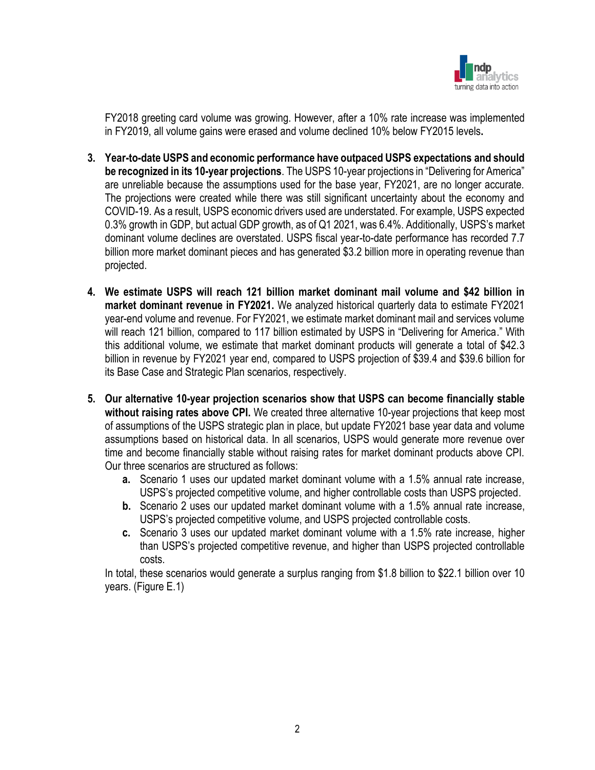

FY2018 greeting card volume was growing. However, after a 10% rate increase was implemented in FY2019, all volume gains were erased and volume declined 10% below FY2015 levels**.** 

- **3. Year-to-date USPS and economic performance have outpaced USPS expectations and should be recognized in its 10-year projections**. The USPS 10-year projections in "Delivering for America" are unreliable because the assumptions used for the base year, FY2021, are no longer accurate. The projections were created while there was still significant uncertainty about the economy and COVID-19. As a result, USPS economic drivers used are understated. For example, USPS expected 0.3% growth in GDP, but actual GDP growth, as of Q1 2021, was 6.4%. Additionally, USPS's market dominant volume declines are overstated. USPS fiscal year-to-date performance has recorded 7.7 billion more market dominant pieces and has generated \$3.2 billion more in operating revenue than projected.
- **4. We estimate USPS will reach 121 billion market dominant mail volume and \$42 billion in market dominant revenue in FY2021.** We analyzed historical quarterly data to estimate FY2021 year-end volume and revenue. For FY2021, we estimate market dominant mail and services volume will reach 121 billion, compared to 117 billion estimated by USPS in "Delivering for America." With this additional volume, we estimate that market dominant products will generate a total of \$42.3 billion in revenue by FY2021 year end, compared to USPS projection of \$39.4 and \$39.6 billion for its Base Case and Strategic Plan scenarios, respectively.
- **5. Our alternative 10-year projection scenarios show that USPS can become financially stable without raising rates above CPI.** We created three alternative 10-year projections that keep most of assumptions of the USPS strategic plan in place, but update FY2021 base year data and volume assumptions based on historical data. In all scenarios, USPS would generate more revenue over time and become financially stable without raising rates for market dominant products above CPI. Our three scenarios are structured as follows:
	- **a.** Scenario 1 uses our updated market dominant volume with a 1.5% annual rate increase, USPS's projected competitive volume, and higher controllable costs than USPS projected.
	- **b.** Scenario 2 uses our updated market dominant volume with a 1.5% annual rate increase, USPS's projected competitive volume, and USPS projected controllable costs.
	- **c.** Scenario 3 uses our updated market dominant volume with a 1.5% rate increase, higher than USPS's projected competitive revenue, and higher than USPS projected controllable costs.

In total, these scenarios would generate a surplus ranging from \$1.8 billion to \$22.1 billion over 10 years. (Figure E.1)